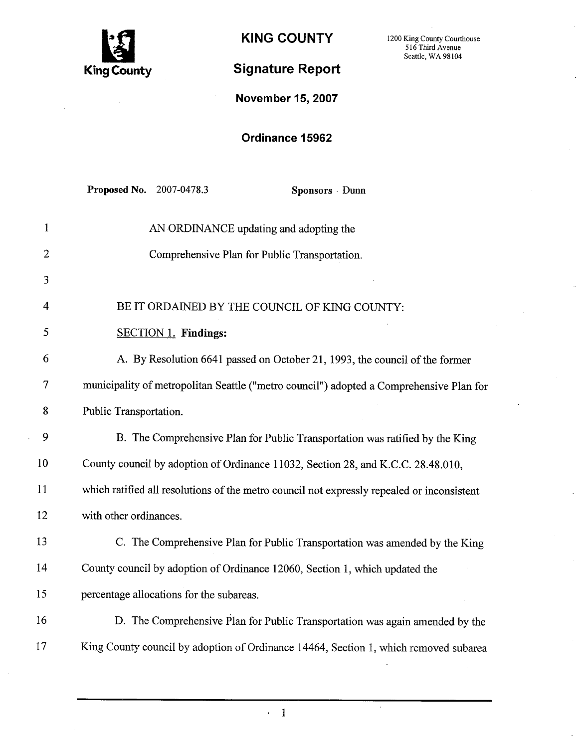

KING COUNTY 1200 King County Courthouse

# Signature Report

Seattle, WA 98104

November 15, 2007

## Ordinance 15962

|                | Proposed No. 2007-0478.3<br>Sponsors Dunn                                                  |
|----------------|--------------------------------------------------------------------------------------------|
| $\mathbf{1}$   | AN ORDINANCE updating and adopting the                                                     |
| $\overline{2}$ | Comprehensive Plan for Public Transportation.                                              |
| 3              |                                                                                            |
| $\overline{4}$ | BE IT ORDAINED BY THE COUNCIL OF KING COUNTY:                                              |
| 5              | <b>SECTION 1. Findings:</b>                                                                |
| 6              | A. By Resolution 6641 passed on October 21, 1993, the council of the former                |
| 7              | municipality of metropolitan Seattle ("metro council") adopted a Comprehensive Plan for    |
| 8              | Public Transportation.                                                                     |
| 9              | B. The Comprehensive Plan for Public Transportation was ratified by the King               |
| 10             | County council by adoption of Ordinance 11032, Section 28, and K.C.C. 28.48.010,           |
| 11             | which ratified all resolutions of the metro council not expressly repealed or inconsistent |
| 12             | with other ordinances.                                                                     |
| 13             | C. The Comprehensive Plan for Public Transportation was amended by the King                |
| 14             | County council by adoption of Ordinance 12060, Section 1, which updated the                |
| 15             | percentage allocations for the subareas.                                                   |
| 16             | D. The Comprehensive Plan for Public Transportation was again amended by the               |
| 17             | King County council by adoption of Ordinance 14464, Section 1, which removed subarea       |

 $\cdot$  1

 $\ddot{\phantom{a}}$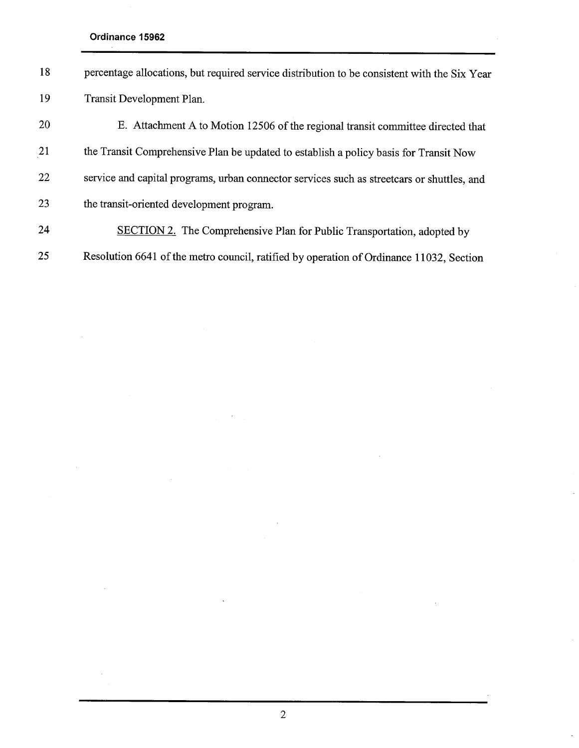Ordinance 15962

J.

 $\hat{\mathcal{L}}$ 

| 18 | percentage allocations, but required service distribution to be consistent with the Six Year |
|----|----------------------------------------------------------------------------------------------|
| 19 | Transit Development Plan.                                                                    |
| 20 | E. Attachment A to Motion 12506 of the regional transit committee directed that              |
| 21 | the Transit Comprehensive Plan be updated to establish a policy basis for Transit Now        |
| 22 | service and capital programs, urban connector services such as streetcars or shuttles, and   |
| 23 | the transit-oriented development program.                                                    |
| 24 | <b>SECTION 2.</b> The Comprehensive Plan for Public Transportation, adopted by               |
| 25 | Resolution 6641 of the metro council, ratified by operation of Ordinance 11032, Section      |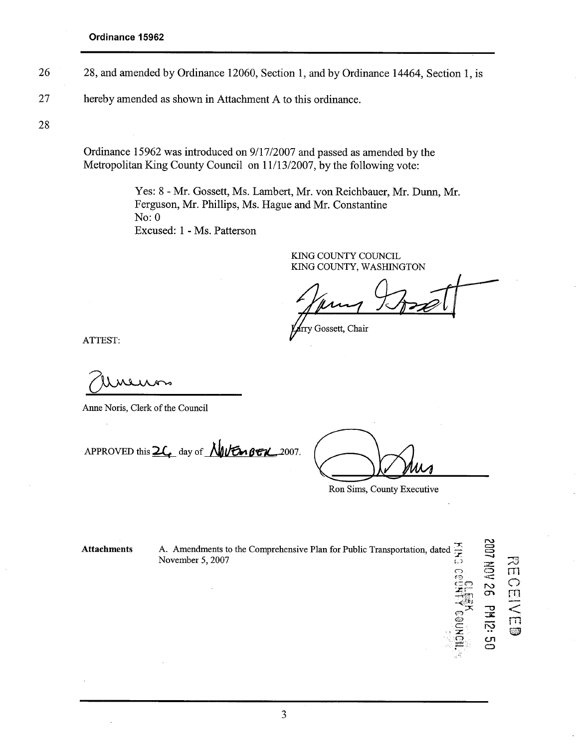- 26 28, and amended by Ordinance 12060, Section 1, and by Ordinance 14464, Section 1, is
- 27 hereby amended as shown in Attachment A to this ordinance.

28

Ordinance 15962 was introduced on 9/17/2007 and passed as amended by the Metropolitan King County Council on 11/13/2007, by the following vote:

> Yes: 8 - Mr. Gossett, Ms. Lambert, Mr. von Reichbauer, Mr. Dunn, Mr. Ferguson, Mr. Philips, Ms. Hague and Mr. Constantine No: 0 Excused: 1 - Ms. Patterson

> > KING COUNTY COUNCIL KING COUNTY, WASHINGTON

9A

rry Gossett, Chair

ATTEST:

ANESI.<br>COMORANO

APPROVED this  $2\ell$  day of  $\sqrt{\frac{1}{2}}\ell_0$  BEX 2007.

.<br>.<br>.<br>.<br>.<br>.<br>.<br>.<br>.<br>.<br>.<br>.<br><br>.<br><br>.<br><br><br>.<br><br><br><br>

 $\bigcirc$  $\epsilon$ e<br>Zil. d

=1)i¡; 0" .~" 0' ::

 $\Xi$ 

- 10N<br>2월<br>1대 전 र<br>पा n<br>C

 $\overline{\leq}$ rn ~

្តី ក្

en<br>O

Ron Sims, County Executive

**Attachments** A. Amendments to the Comprehensive Plan for Public Transportation, dated  $\frac{1}{2}$ <br>November 5, 2007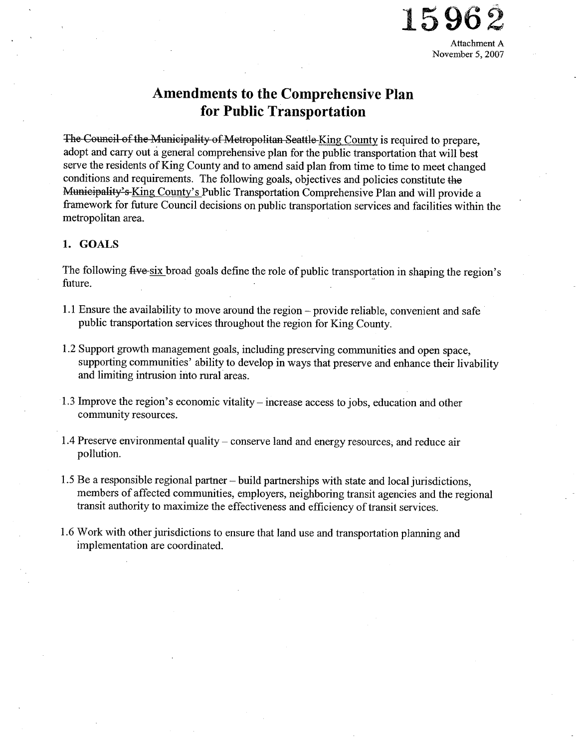

# Amendments to the Comprehensive Plan for Public Transportation

The Council of the Municipality of Metropolitan Seattle King County is required to prepare, adopt and carry out a general comprehensive plan for the public transportation that will best serve the residents of King County and to amend said plan from time to time to meet changed conditions and requirements. The following goals, objectives and policies constitute the Municipality's King County's Public Transportation Comprehensive Plan and will provide a framework for future Council decisions on public transportation services and facilities within the metropolitan area.

#### 1. GOALS

The following five six broad goals define the role of public transportation in shaping the region's future.

- 1.1 Ensure the availability to move around the region provide reliable, convenient and safe public transportation services throughout the region for King County.
- 1.2 Support growth management goals, including preserving communities and open space, supporting communities' ability to develop in ways that preserve and enhance their livability and limiting intrusion into rural areas.
- 1.3 Improve the region's economic vitality increase access to jobs, education and other community resources.
- 1.4 Preserve environmental quality conserve land and energy resources, and reduce air pollution.
- 1.5 Be a responsible regional partner  $-$  build partnerships with state and local jurisdictions, members of affected communities, employers, neighboring transit agencies and the regional transit authority to maximize the effectiveness and efficiency of transit services.
- 1.6 Work with other jurisdictions to ensure that land use and transportation planning and implementation are coordinated.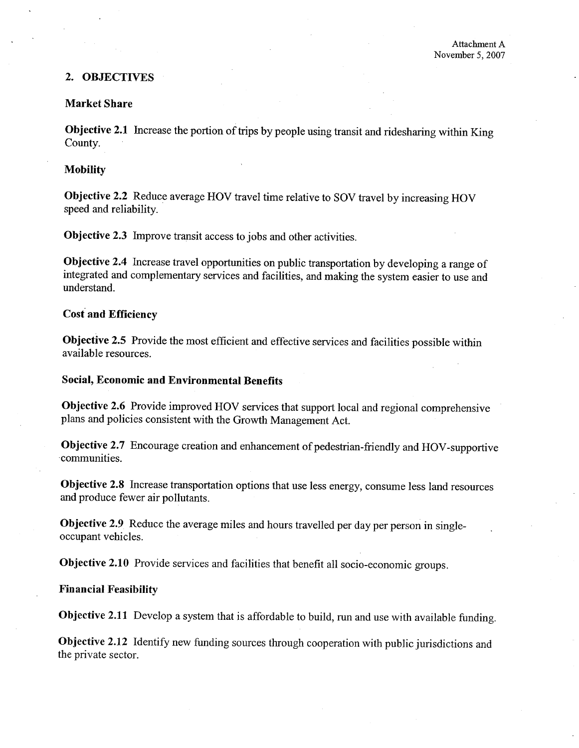### 2. OBJECTIVES

#### Market Share

Objective 2.1 Increase the portion of trips by people using transit and ridesharing within King County.

#### **Mobility**

Objective 2.2 Reduce average HOV travel time relative to SOV travel by increasing HOV speed and reliability.

Objective 2.3 Improve transit access to jobs and other activities.

Objective 2.4 Increase travel opportunities on public transportation by developing a range of integrated and complementary services and facilities, and making the system easier to use and understand.

## Cost and Efficiency

Objective 2.5 Provide the most efficient and effective services and facilities possible within available resources.

#### Social, Economic and Environmental Benefits

Objective 2.6 Provide improved ROV services that support local and regional comprehensive plans and policies consistent with the Growth Management Act.

Objective 2.7 Encourage creation and enhancement of pedestrian-frendly and ROV-supportive communities.

Objective 2.8 Increase transportation options that use less energy, consume less land resources and produce fewer air pollutants.

Objective 2.9 Reduce the average miles and hours travelled per day per person in singleoccupant vehicles.

Objective 2.10 Provide services and facilities that benefit all socio-economic groups.

#### Financial Feasibilty

Objective 2.11 Develop a system that is affordable to build, run and use with available funding.

Objective 2.12 Identify new funding sources through cooperation with public jurisdictions and the private sector.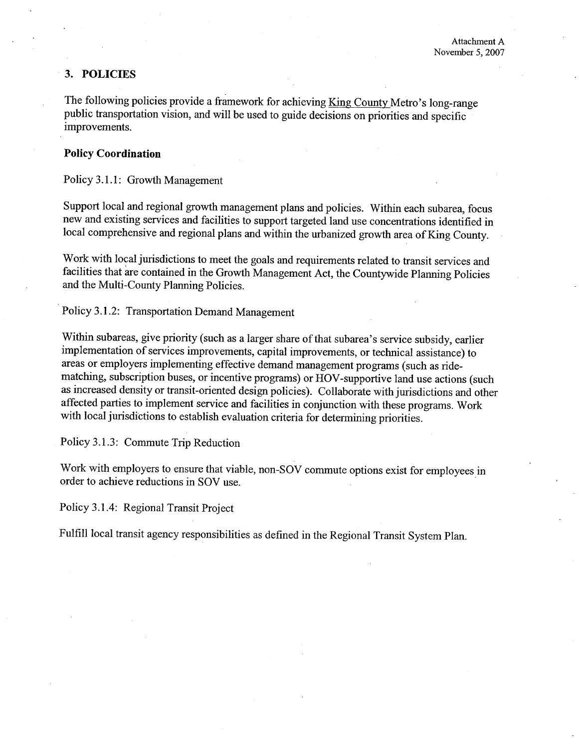#### 3. POLICIES

The following policies provide a framework for achieving King County Metro's long-range public transportation vision, and will be used to guide decisions on priorities and specific improvements.

#### Policy Coordination

Policy 3.1.1: Growth Management

Support local and regional growth management plans and policies. Within each subarea, focus new and existing services and facilities to support targeted land use concentrations identified in local comprehensive and regional plans and within the urbanized growth area of King County.

Work with local jurisdictions to meet the goals and requirements related to transit services and facilities that are contained in the Growth Management Act, the Countywide Planning Policies and the Multi-County Planning Policies.

Policy 3.1.2: Transportation Demand Management

Within subareas, give priority (such as a larger share of that subarea's service subsidy, earlier implementation of services improvements, capital improvements, or technical assistance) to areas or employers implementing effective demand management programs (such as ridematching, subscription buses, or incentive programs) or ROV-supportive land use actions (such as increased density or transit-oriented design policies). Collaborate with jursdictions and other affected parties to implement service and facilities in conjunction with these programs. Work with local jurisdictions to establish evaluation criteria for determining priorities.

Policy 3.1.3: Commute Trip Reduction

Work with employers to ensure that viable, non-SOY commute options exist for employees in order to achieve reductions in SOY use.

Policy 3.1.4: Regional Transit Project

Fulfill local transit agency responsibilities as defined in the Regional Transit System Plan.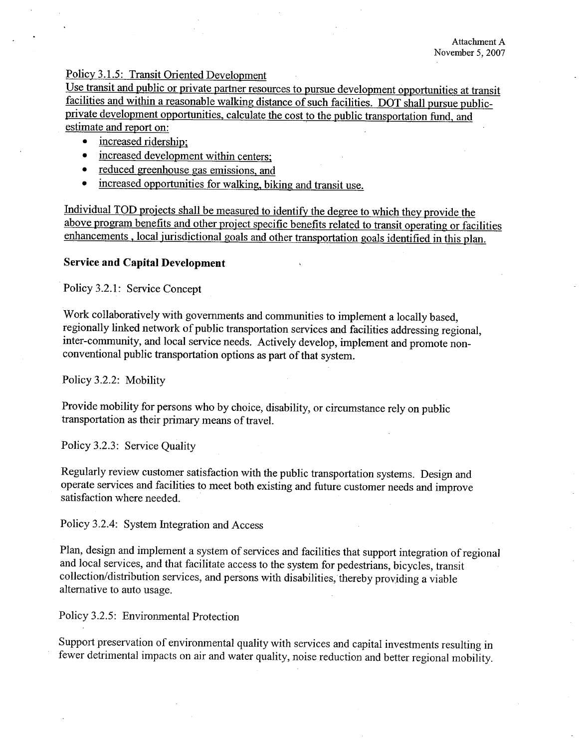## Policy 3.1.5: Transit Oriented Development

Use transit and public or private partner resources to pursue development opportunities at transit facilities and within a reasonable walking distance of such facilities. DOT shall pursue publicprivate development opportunities, calculate the cost to the public transportation fund, and estimate and report on:

- increased ridership:
- increased development within centers;
- reduced greenhouse gas emissions, and
- increased opportunities for walking, biking and transit use.

Individual TOD proiects shall be measured to identify the degree to which they provide the above program benefits and other project specific benefits related to transit operating or facilities enhancements, local iurisdictional goals and other transportation goals identified in this plan.

#### Service and Capital Development

Policy 3.2.1: Service Concept

Work collaboratively with governments and communities to implement a locally based, regionally linked network of public transportation services and facilities addressing regional, inter-community, and local service needs. Actively develop, implement and promote nonconventional public transportation options as part of that system.

Policy 3.2.2: Mobility

Provide mobility for persons who by choice, disability, or circumstance rely on public transportation as their primary means of travel.

Policy 3.2.3: Service Quality

Regularly review customer satisfaction with the public transportation systems. Design and operate services and facilities to meet both existing and future customer needs and improve satisfaction where needed.

Policy 3.2.4: System Integration and Access

Plan, design and implement a system of services and facilities that support integration of regional and local services, and that facilitate access to the system for pedestrians, bicycles, transit collection/distribution services, and persons with disabilities, thereby providing a viable alternative to auto usage.

Policy 3.2.5: Environmental Protection

Support preservation of environmental quality with services and capital investments resulting in fewer detrimental impacts on air and water quality, noise reduction and better regional mobility.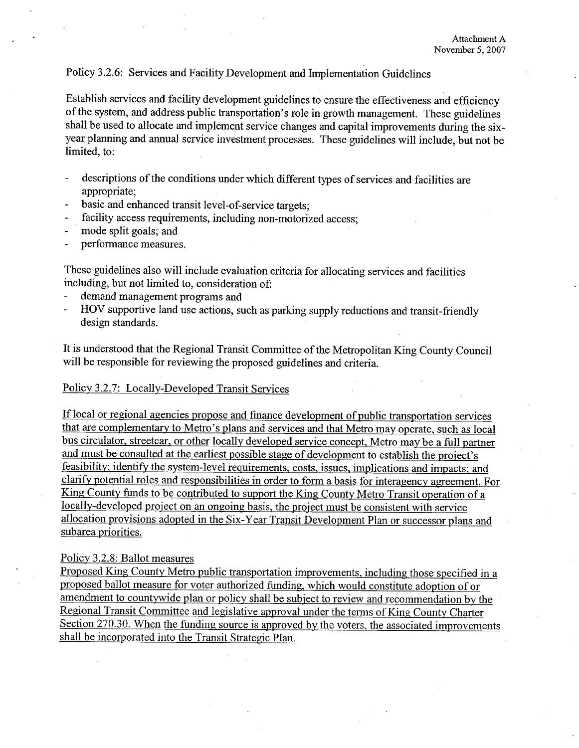### Policy 3.2.6: Services and Facility Development and Implementation Guidelines

Establish services and facility development guidelines to ensure the effectiveness and efficiency of the system, and address public transportation's role in growth management. These guidelines shall be used to allocate and implement service changes and capital improvements during the sixyear planning and annual service investment processes. These guidelines will include, but not be limited, to:

- descriptions of the conditions under which different types of services and facilities are appropriate;
- basic and enhanced transit level-of-service targets;
- facility access requirements, including non-motorized access;
- mode split goals; and
- performance measures.

These guidelines also will include evaluation criteria for allocating services and facilities including, but not limited to, consideration of:

- demand management programs and
- ROV supportive land use actions, such as parking supply reductions and transit-frendly design standards.

It is understood that the Regional Transit Committee of the Metropolitan King County Council will be responsible for reviewing the proposed guidelines and criteria.

#### Policy 3.2.7: Locally-Developed Transit Services

If local or regional agencies propose and finance development of public transportation services that are complementary to Metro's plans and services and that Metro may operate, such as local bus circulator, streetcar, or other locally developed service concept. Metro may be a full partner and must be consulted at the earliest possible stage of development to establish the project's feasibility; identify the system-level requirements, costs, issues, implications and impacts; and clarify potential roles and responsibilities in order to form a basis for interagency agreement. For King County funds to be contributed to support the King County Metro Transit operation of a locally-developed proiect on an ongoing basis, the proiect must be consistent with service allocation provisions adopted in the Six -Year Transit Development Plan or successor plans and subarea priorities.

#### Policy 3.2.8: Ballot measures

Proposed King County Metro public transportation improvements, including those specified in a proposed ballot measure for voter authorized funding, which would constitute adoption of or amendment to countywide plan or policy shall be subiect to review and recommendation by the Regional Transit Committee and legislative approval under the terms of King County Charter Section 270.30. When the funding source is approved by the voters, the associated improvements shall be incorporated into the Transit Strategic Plan.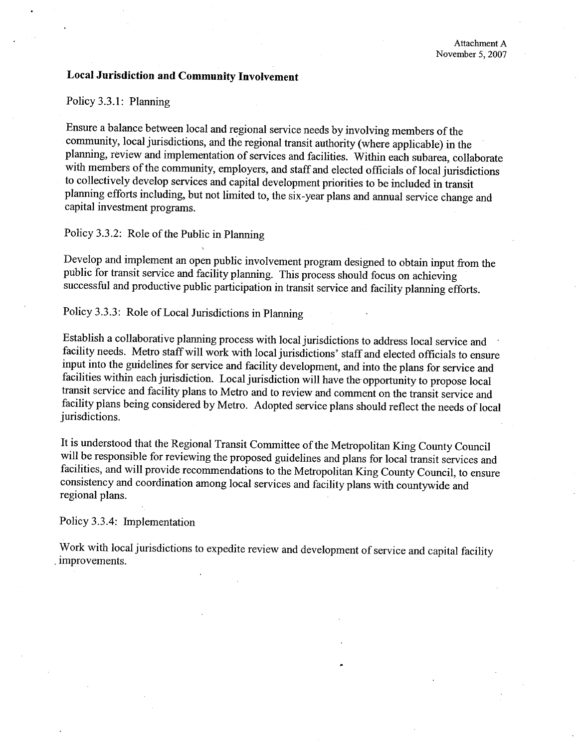## Local Jurisdiction and Community Involvement

Policy 3.3.1: Planing

Ensure a balance between local and regional service needs by involving members of the community, local jurisdictions, and the regional transit authority (where applicable) in the planning, review and implementation of services and facilities. Within each subarea, collaborate with members of the community, employers, and staff and elected officials of local jurisdictions to collectively develop services and capital development priorities to be included in transit planing efforts including, but not limited to, the six-year plans and anual service change and capital investment programs.

Policy 3.3.2: Role of the Public in Planning

Develop and implement an open public involvement program designed to obtain input from the public for transit service and facility planning. This process should focus on achieving successful and productive public paricipation in transit service and facility planning efforts.

Policy 3.3.3: Role of Local Jurisdictions in Planning

Establish a collaborative planing process with local jurisdictions to address local service and facility needs. Metro staff will work with local jurisdictions' staff and elected officials to ensure input into the guidelines for service and facility development, and into the plans for service and facilities within each jurisdiction. Local jurisdiction will have the'opportunity to propose local transit service and facility plans to Metro and to review and comment on the transit service and facility plans being considered by Metro. Adopted service plans should reflect the needs of local jurisdictions.

It is understood that the Regional Transit Committee of the Metropolitan King County Council will be responsible for reviewing the proposed guidelines and plans for local transit services and facilities, and will provide recommendations to the Metropolitan King County Council, to ensure consistency and coordination among local services and facility plans with countywide and regional plans.

Policy 3.3.4: Implementation

Work with local jurisdictions to expedite review and development of service and capital facility . improvements.